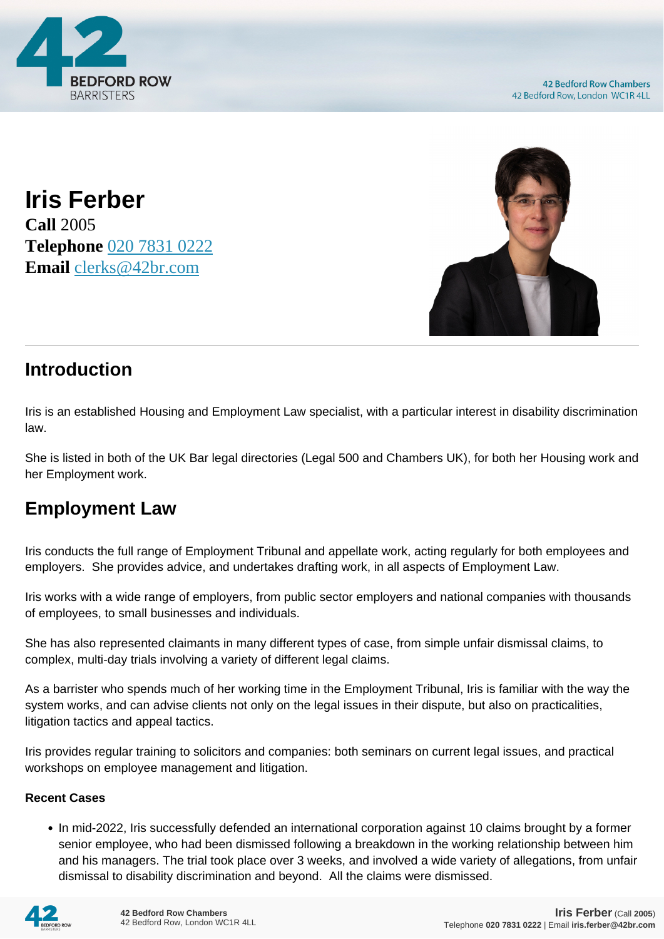

**Iris Ferber Call** 2005 **Telephone** [020 7831 0222](https://pdf.codeshore.co/_42br/tel:020 7831 0222) **Email** [clerks@42br.com](mailto:clerks@42br.com)



## **Introduction**

Iris is an established Housing and Employment Law specialist, with a particular interest in disability discrimination law.

She is listed in both of the UK Bar legal directories (Legal 500 and Chambers UK), for both her Housing work and her Employment work.

## **Employment Law**

Iris conducts the full range of Employment Tribunal and appellate work, acting regularly for both employees and employers. She provides advice, and undertakes drafting work, in all aspects of Employment Law.

Iris works with a wide range of employers, from public sector employers and national companies with thousands of employees, to small businesses and individuals.

She has also represented claimants in many different types of case, from simple unfair dismissal claims, to complex, multi-day trials involving a variety of different legal claims.

As a barrister who spends much of her working time in the Employment Tribunal, Iris is familiar with the way the system works, and can advise clients not only on the legal issues in their dispute, but also on practicalities, litigation tactics and appeal tactics.

Iris provides regular training to solicitors and companies: both seminars on current legal issues, and practical workshops on employee management and litigation.

### **Recent Cases**

• In mid-2022, Iris successfully defended an international corporation against 10 claims brought by a former senior employee, who had been dismissed following a breakdown in the working relationship between him and his managers. The trial took place over 3 weeks, and involved a wide variety of allegations, from unfair dismissal to disability discrimination and beyond. All the claims were dismissed.

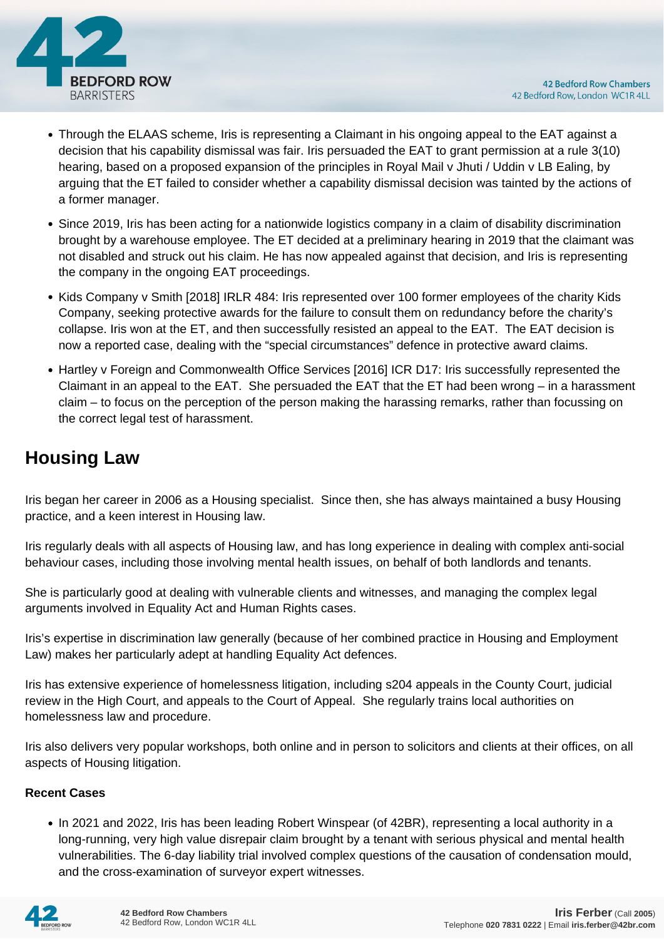

- Through the ELAAS scheme, Iris is representing a Claimant in his ongoing appeal to the EAT against a decision that his capability dismissal was fair. Iris persuaded the EAT to grant permission at a rule 3(10) hearing, based on a proposed expansion of the principles in Royal Mail v Jhuti / Uddin v LB Ealing, by arguing that the ET failed to consider whether a capability dismissal decision was tainted by the actions of a former manager.
- Since 2019, Iris has been acting for a nationwide logistics company in a claim of disability discrimination brought by a warehouse employee. The ET decided at a preliminary hearing in 2019 that the claimant was not disabled and struck out his claim. He has now appealed against that decision, and Iris is representing the company in the ongoing EAT proceedings.
- Kids Company v Smith [2018] IRLR 484: Iris represented over 100 former employees of the charity Kids Company, seeking protective awards for the failure to consult them on redundancy before the charity's collapse. Iris won at the ET, and then successfully resisted an appeal to the EAT. The EAT decision is now a reported case, dealing with the "special circumstances" defence in protective award claims.
- Hartley v Foreign and Commonwealth Office Services [2016] ICR D17: Iris successfully represented the Claimant in an appeal to the EAT. She persuaded the EAT that the ET had been wrong – in a harassment claim – to focus on the perception of the person making the harassing remarks, rather than focussing on the correct legal test of harassment.

## **Housing Law**

Iris began her career in 2006 as a Housing specialist. Since then, she has always maintained a busy Housing practice, and a keen interest in Housing law.

Iris regularly deals with all aspects of Housing law, and has long experience in dealing with complex anti-social behaviour cases, including those involving mental health issues, on behalf of both landlords and tenants.

She is particularly good at dealing with vulnerable clients and witnesses, and managing the complex legal arguments involved in Equality Act and Human Rights cases.

Iris's expertise in discrimination law generally (because of her combined practice in Housing and Employment Law) makes her particularly adept at handling Equality Act defences.

Iris has extensive experience of homelessness litigation, including s204 appeals in the County Court, judicial review in the High Court, and appeals to the Court of Appeal. She regularly trains local authorities on homelessness law and procedure.

Iris also delivers very popular workshops, both online and in person to solicitors and clients at their offices, on all aspects of Housing litigation.

### **Recent Cases**

• In 2021 and 2022, Iris has been leading Robert Winspear (of 42BR), representing a local authority in a long-running, very high value disrepair claim brought by a tenant with serious physical and mental health vulnerabilities. The 6-day liability trial involved complex questions of the causation of condensation mould, and the cross-examination of surveyor expert witnesses.